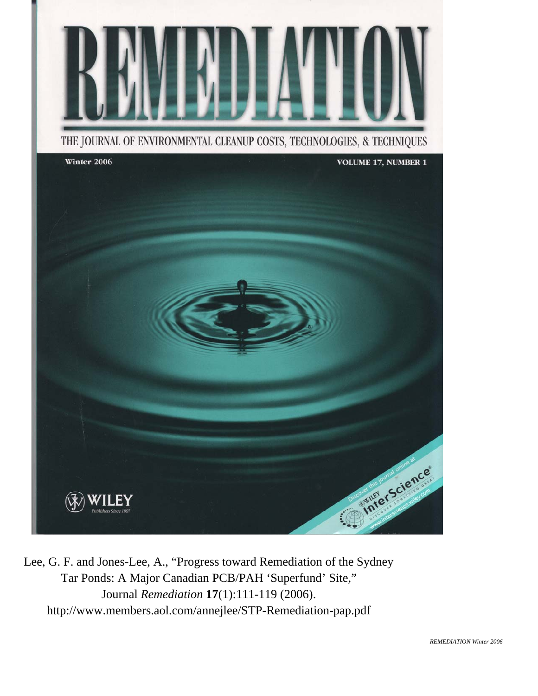

THE JOURNAL OF ENVIRONMENTAL CLEANUP COSTS, TECHNOLOGIES, & TECHNIQUES



Lee, G. F. and Jones-Lee, A., "Progress toward Remediation of the Sydney Tar Ponds: A Major Canadian PCB/PAH 'Superfund' Site," Journal *Remediation* **17**(1):111-119 (2006). http://www.members.aol.com/annejlee/STP-Remediation-pap.pdf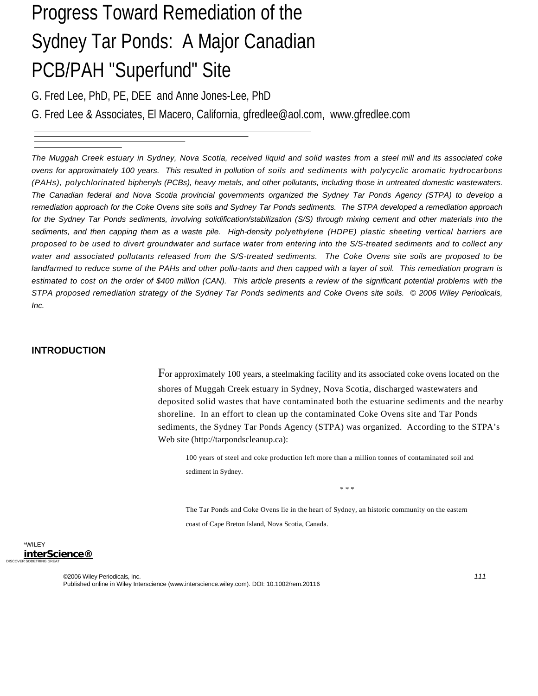# Progress Toward Remediation of the Sydney Tar Ponds: A Major Canadian PCB/PAH "Superfund" Site

G. Fred Lee, PhD, PE, DEE and Anne Jones-Lee, PhD

G. Fred Lee & Associates, El Macero, California, gfredlee@aol.com, www.gfredlee.com

## **INTRODUCTION**

For approximately 100 years, a steelmaking facility and its associated coke ovens located on the shores of Muggah Creek estuary in Sydney, Nova Scotia, discharged wastewaters and deposited solid wastes that have contaminated both the estuarine sediments and the nearby shoreline. In an effort to clean up the contaminated Coke Ovens site and Tar Ponds sediments, the Sydney Tar Ponds Agency (STPA) was organized. According to the STPA's Web site (http://tarpondscleanup.ca):

100 years of steel and coke production left more than a million tonnes of contaminated soil and sediment in Sydney.

\* \* \*

The Tar Ponds and Coke Ovens lie in the heart of Sydney, an historic community on the eastern coast of Cape Breton Island, Nova Scotia, Canada.

#### \*WILEY **interScience®** DISCOVER SODETRING GREAT

 ©2006 Wiley Periodicals, Inc. *111* Published online in Wiley Interscience (www.interscience.wiley.com). DOI: 10.1002/rem.20116

*The Muggah Creek estuary in Sydney, Nova Scotia, received liquid and solid wastes from a steel mill and its associated coke ovens for approximately 100 years. This resulted in pollution of soils and sediments with polycyclic aromatic hydrocarbons (PAHs), polychlorinated biphenyls (PCBs), heavy metals, and other pollutants, including those in untreated domestic wastewaters. The Canadian federal and Nova Scotia provincial governments organized the Sydney Tar Ponds Agency (STPA) to develop a remediation approach for the Coke Ovens site soils and Sydney Tar Ponds sediments. The STPA developed a remediation approach for the Sydney Tar Ponds sediments, involving solidification/stabilization (S/S) through mixing cement and other materials into the sediments, and then capping them as a waste pile. High-density polyethylene (HDPE) plastic sheeting vertical barriers are proposed to be used to divert groundwater and surface water from entering into the S/S-treated sediments and to collect any*  water and associated pollutants released from the S/S-treated sediments. The Coke Ovens site soils are proposed to be landfarmed to reduce some of the PAHs and other pollu-tants and then capped with a layer of soil. This remediation program is estimated to cost on the order of \$400 million (CAN). This article presents a review of the significant potential problems with the *STPA proposed remediation strategy of the Sydney Tar Ponds sediments and Coke Ovens site soils. © 2006 Wiley Periodicals, Inc.*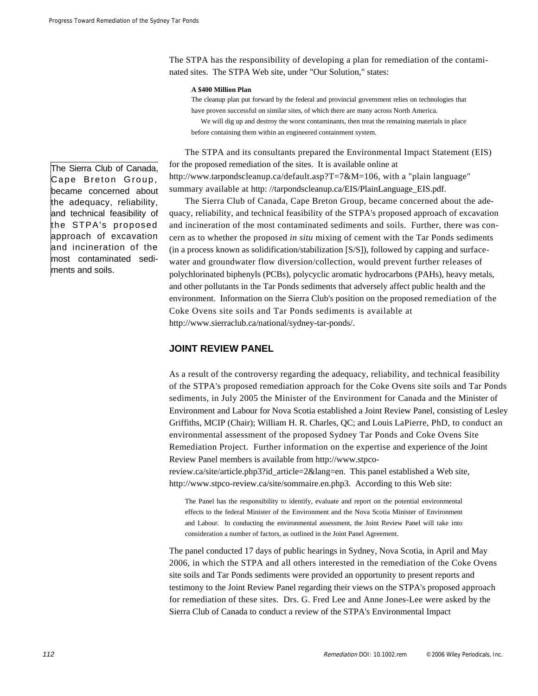The STPA has the responsibility of developing a plan for remediation of the contaminated sites. The STPA Web site, under "Our Solution," states:

#### **A \$400 Million Plan**

The cleanup plan put forward by the federal and provincial government relies on technologies that have proven successful on similar sites, of which there are many across North America.

We will dig up and destroy the worst contaminants, then treat the remaining materials in place before containing them within an engineered containment system.

The STPA and its consultants prepared the Environmental Impact Statement (EIS) for the proposed remediation of the sites. It is available online at http://www.tarpondscleanup.ca/default.asp?T=7&M=106, with a "plain language" summary available at http: //tarpondscleanup.ca/EIS/PlainLanguage\_EIS.pdf.

The Sierra Club of Canada, Cape Breton Group, became concerned about the adequacy, reliability, and technical feasibility of the STPA's proposed approach of excavation and incineration of the most contaminated sediments and soils. Further, there was concern as to whether the proposed *in situ* mixing of cement with the Tar Ponds sediments (in a process known as solidification/stabilization [S/S]), followed by capping and surfacewater and groundwater flow diversion/collection, would prevent further releases of polychlorinated biphenyls (PCBs), polycyclic aromatic hydrocarbons (PAHs), heavy metals, and other pollutants in the Tar Ponds sediments that adversely affect public health and the environment. Information on the Sierra Club's position on the proposed remediation of the Coke Ovens site soils and Tar Ponds sediments is available at http://www.sierraclub.ca/national/sydney-tar-ponds/.

## **JOINT REVIEW PANEL**

As a result of the controversy regarding the adequacy, reliability, and technical feasibility of the STPA's proposed remediation approach for the Coke Ovens site soils and Tar Ponds sediments, in July 2005 the Minister of the Environment for Canada and the Minister of Environment and Labour for Nova Scotia established a Joint Review Panel, consisting of Lesley Griffiths, MCIP (Chair); William H. R. Charles, QC; and Louis LaPierre, PhD, to conduct an environmental assessment of the proposed Sydney Tar Ponds and Coke Ovens Site Remediation Project. Further information on the expertise and experience of the Joint Review Panel members is available from http://www.stpco-

review.ca/site/article.php3?id\_article=2&lang=en. This panel established a Web site, http://www.stpco-review.ca/site/sommaire.en.php3. According to this Web site:

The Panel has the responsibility to identify, evaluate and report on the potential environmental effects to the federal Minister of the Environment and the Nova Scotia Minister of Environment and Labour. In conducting the environmental assessment, the Joint Review Panel will take into consideration a number of factors, as outlined in the Joint Panel Agreement.

The panel conducted 17 days of public hearings in Sydney, Nova Scotia, in April and May 2006, in which the STPA and all others interested in the remediation of the Coke Ovens site soils and Tar Ponds sediments were provided an opportunity to present reports and testimony to the Joint Review Panel regarding their views on the STPA's proposed approach for remediation of these sites. Drs. G. Fred Lee and Anne Jones-Lee were asked by the Sierra Club of Canada to conduct a review of the STPA's Environmental Impact

The Sierra Club of Canada, Cape Breton Group, became concerned about the adequacy, reliability, and technical feasibility of the STPA's proposed approach of excavation and incineration of the most contaminated sediments and soils.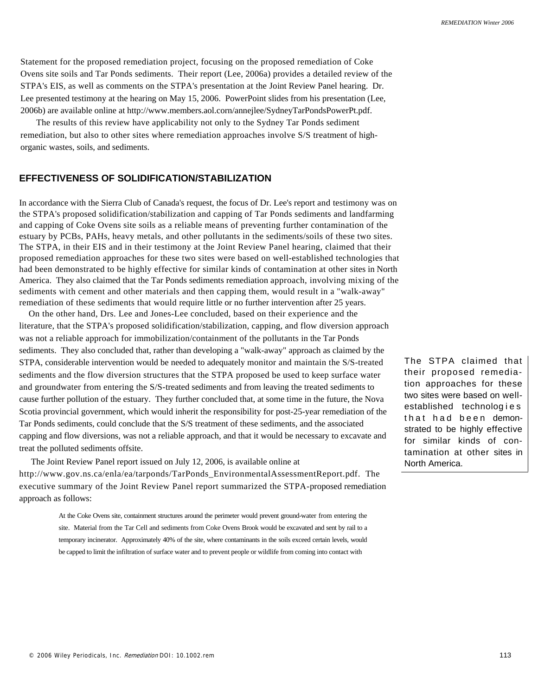Statement for the proposed remediation project, focusing on the proposed remediation of Coke Ovens site soils and Tar Ponds sediments. Their report (Lee, 2006a) provides a detailed review of the STPA's EIS, as well as comments on the STPA's presentation at the Joint Review Panel hearing. Dr. Lee presented testimony at the hearing on May 15, 2006. PowerPoint slides from his presentation (Lee, 2006b) are available online at http://www.members.aol.corn/annejlee/SydneyTarPondsPowerPt.pdf.

The results of this review have applicability not only to the Sydney Tar Ponds sediment remediation, but also to other sites where remediation approaches involve S/S treatment of highorganic wastes, soils, and sediments.

## **EFFECTIVENESS OF SOLIDIFICATION/STABILIZATION**

In accordance with the Sierra Club of Canada's request, the focus of Dr. Lee's report and testimony was on the STPA's proposed solidification/stabilization and capping of Tar Ponds sediments and landfarming and capping of Coke Ovens site soils as a reliable means of preventing further contamination of the estuary by PCBs, PAHs, heavy metals, and other pollutants in the sediments/soils of these two sites. The STPA, in their EIS and in their testimony at the Joint Review Panel hearing, claimed that their proposed remediation approaches for these two sites were based on well-established technologies that had been demonstrated to be highly effective for similar kinds of contamination at other sites in North America. They also claimed that the Tar Ponds sediments remediation approach, involving mixing of the sediments with cement and other materials and then capping them, would result in a "walk-away" remediation of these sediments that would require little or no further intervention after 25 years.

On the other hand, Drs. Lee and Jones-Lee concluded, based on their experience and the literature, that the STPA's proposed solidification/stabilization, capping, and flow diversion approach was not a reliable approach for immobilization/containment of the pollutants in the Tar Ponds sediments. They also concluded that, rather than developing a "walk-away" approach as claimed by the STPA, considerable intervention would be needed to adequately monitor and maintain the S/S-treated sediments and the flow diversion structures that the STPA proposed be used to keep surface water and groundwater from entering the S/S-treated sediments and from leaving the treated sediments to cause further pollution of the estuary. They further concluded that, at some time in the future, the Nova Scotia provincial government, which would inherit the responsibility for post-25-year remediation of the Tar Ponds sediments, could conclude that the S/S treatment of these sediments, and the associated capping and flow diversions, was not a reliable approach, and that it would be necessary to excavate and treat the polluted sediments offsite.

The Joint Review Panel report issued on July 12, 2006, is available online at http://www.gov.ns.ca/enla/ea/tarponds/TarPonds\_EnvironmentalAssessmentReport.pdf. The executive summary of the Joint Review Panel report summarized the STPA-proposed remediation approach as follows:

> At the Coke Ovens site, containment structures around the perimeter would prevent ground-water from entering the site. Material from the Tar Cell and sediments from Coke Ovens Brook would be excavated and sent by rail to a temporary incinerator. Approximately 40% of the site, where contaminants in the soils exceed certain levels, would be capped to limit the infiltration of surface water and to prevent people or wildlife from coming into contact with

The STPA claimed that their proposed remediation approaches for these two sites were based on wellestablished technolog i e s that had been demonstrated to be highly effective for similar kinds of contamination at other sites in North America.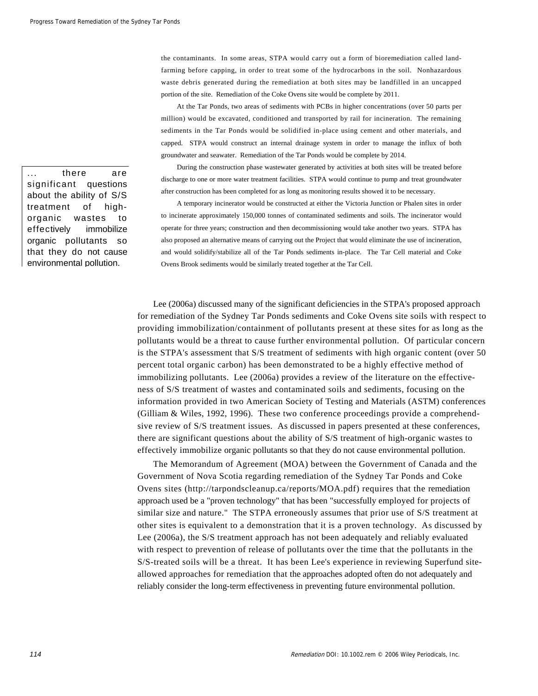the contaminants. In some areas, STPA would carry out a form of bioremediation called landfarming before capping, in order to treat some of the hydrocarbons in the soil. Nonhazardous waste debris generated during the remediation at both sites may be landfilled in an uncapped portion of the site. Remediation of the Coke Ovens site would be complete by 2011.

At the Tar Ponds, two areas of sediments with PCBs in higher concentrations (over 50 parts per million) would be excavated, conditioned and transported by rail for incineration. The remaining sediments in the Tar Ponds would be solidified in-place using cement and other materials, and capped. STPA would construct an internal drainage system in order to manage the influx of both groundwater and seawater. Remediation of the Tar Ponds would be complete by 2014.

During the construction phase wastewater generated by activities at both sites will be treated before discharge to one or more water treatment facilities. STPA would continue to pump and treat groundwater after construction has been completed for as long as monitoring results showed it to be necessary.

A temporary incinerator would be constructed at either the Victoria Junction or Phalen sites in order to incinerate approximately 150,000 tonnes of contaminated sediments and soils. The incinerator would operate for three years; construction and then decommissioning would take another two years. STPA has also proposed an alternative means of carrying out the Project that would eliminate the use of incineration, and would solidify/stabilize all of the Tar Ponds sediments in-place. The Tar Cell material and Coke Ovens Brook sediments would be similarly treated together at the Tar Cell.

Lee (2006a) discussed many of the significant deficiencies in the STPA's proposed approach for remediation of the Sydney Tar Ponds sediments and Coke Ovens site soils with respect to providing immobilization/containment of pollutants present at these sites for as long as the pollutants would be a threat to cause further environmental pollution. Of particular concern is the STPA's assessment that S/S treatment of sediments with high organic content (over 50 percent total organic carbon) has been demonstrated to be a highly effective method of immobilizing pollutants. Lee (2006a) provides a review of the literature on the effectiveness of S/S treatment of wastes and contaminated soils and sediments, focusing on the information provided in two American Society of Testing and Materials (ASTM) conferences (Gilliam & Wiles, 1992, 1996). These two conference proceedings provide a comprehendsive review of S/S treatment issues. As discussed in papers presented at these conferences, there are significant questions about the ability of S/S treatment of high-organic wastes to effectively immobilize organic pollutants so that they do not cause environmental pollution.

The Memorandum of Agreement (MOA) between the Government of Canada and the Government of Nova Scotia regarding remediation of the Sydney Tar Ponds and Coke Ovens sites (http://tarpondscleanup.ca/reports/MOA.pdf) requires that the remediation approach used be a "proven technology" that has been "successfully employed for projects of similar size and nature." The STPA erroneously assumes that prior use of S/S treatment at other sites is equivalent to a demonstration that it is a proven technology. As discussed by Lee (2006a), the S/S treatment approach has not been adequately and reliably evaluated with respect to prevention of release of pollutants over the time that the pollutants in the S/S-treated soils will be a threat. It has been Lee's experience in reviewing Superfund siteallowed approaches for remediation that the approaches adopted often do not adequately and reliably consider the long-term effectiveness in preventing future environmental pollution.

there are significant questions about the ability of S/S treatment of highorganic wastes to effectively immobilize organic pollutants so that they do not cause environmental pollution.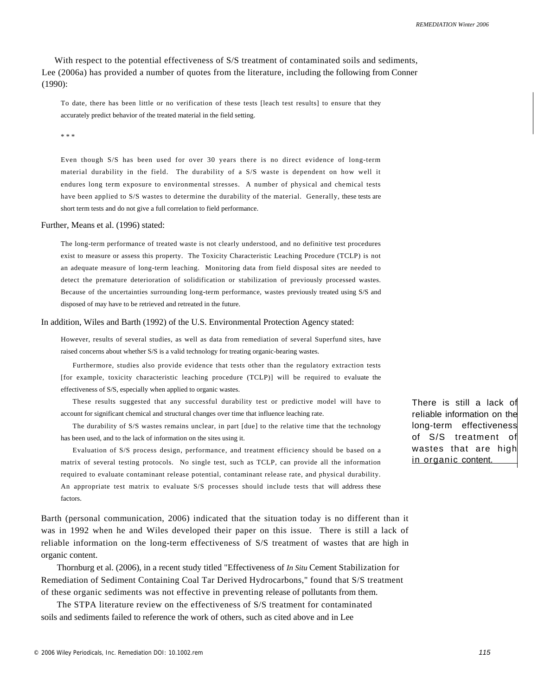With respect to the potential effectiveness of S/S treatment of contaminated soils and sediments, Lee (2006a) has provided a number of quotes from the literature, including the following from Conner (1990):

To date, there has been little or no verification of these tests [leach test results] to ensure that they accurately predict behavior of the treated material in the field setting.

\* \* \*

Even though S/S has been used for over 30 years there is no direct evidence of long-term material durability in the field. The durability of a S/S waste is dependent on how well it endures long term exposure to environmental stresses. A number of physical and chemical tests have been applied to S/S wastes to determine the durability of the material. Generally, these tests are short term tests and do not give a full correlation to field performance.

#### Further, Means et al. (1996) stated:

The long-term performance of treated waste is not clearly understood, and no definitive test procedures exist to measure or assess this property. The Toxicity Characteristic Leaching Procedure (TCLP) is not an adequate measure of long-term leaching. Monitoring data from field disposal sites are needed to detect the premature deterioration of solidification or stabilization of previously processed wastes. Because of the uncertainties surrounding long-term performance, wastes previously treated using S/S and disposed of may have to be retrieved and retreated in the future.

#### In addition, Wiles and Barth (1992) of the U.S. Environmental Protection Agency stated:

However, results of several studies, as well as data from remediation of several Superfund sites, have raised concerns about whether S/S is a valid technology for treating organic-bearing wastes.

Furthermore, studies also provide evidence that tests other than the regulatory extraction tests [for example, toxicity characteristic leaching procedure (TCLP)] will be required to evaluate the effectiveness of S/S, especially when applied to organic wastes.

These results suggested that any successful durability test or predictive model will have to account for significant chemical and structural changes over time that influence leaching rate.

The durability of S/S wastes remains unclear, in part [due] to the relative time that the technology has been used, and to the lack of information on the sites using it.

Evaluation of S/S process design, performance, and treatment efficiency should be based on a matrix of several testing protocols. No single test, such as TCLP, can provide all the information required to evaluate contaminant release potential, contaminant release rate, and physical durability. An appropriate test matrix to evaluate S/S processes should include tests that will address these factors.

Barth (personal communication, 2006) indicated that the situation today is no different than it was in 1992 when he and Wiles developed their paper on this issue. There is still a lack of reliable information on the long-term effectiveness of S/S treatment of wastes that are high in organic content.

Thornburg et al. (2006), in a recent study titled "Effectiveness of *In Situ* Cement Stabilization for Remediation of Sediment Containing Coal Tar Derived Hydrocarbons," found that S/S treatment of these organic sediments was not effective in preventing release of pollutants from them.

The STPA literature review on the effectiveness of S/S treatment for contaminated soils and sediments failed to reference the work of others, such as cited above and in Lee

There is still a lack of reliable information on the long-term effectiveness of S/S treatment of wastes that are high in organic content.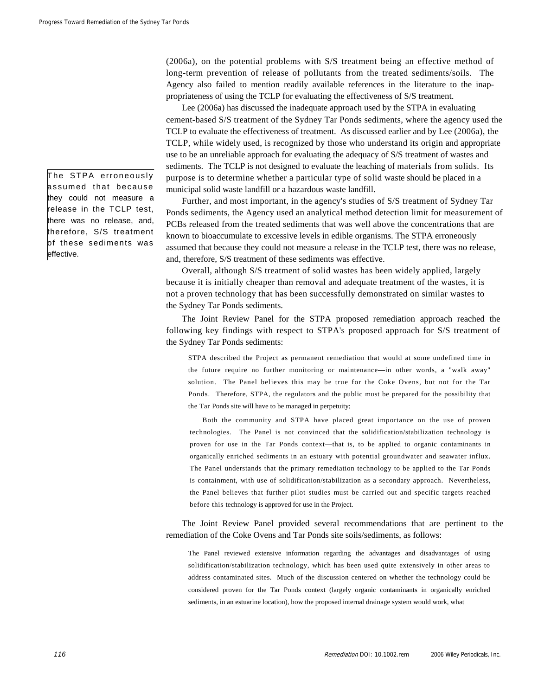(2006a), on the potential problems with S/S treatment being an effective method of long-term prevention of release of pollutants from the treated sediments/soils. The Agency also failed to mention readily available references in the literature to the inappropriateness of using the TCLP for evaluating the effectiveness of S/S treatment.

Lee (2006a) has discussed the inadequate approach used by the STPA in evaluating cement-based S/S treatment of the Sydney Tar Ponds sediments, where the agency used the TCLP to evaluate the effectiveness of treatment. As discussed earlier and by Lee (2006a), the TCLP, while widely used, is recognized by those who understand its origin and appropriate use to be an unreliable approach for evaluating the adequacy of S/S treatment of wastes and sediments. The TCLP is not designed to evaluate the leaching of materials from solids. Its purpose is to determine whether a particular type of solid waste should be placed in a municipal solid waste landfill or a hazardous waste landfill.

Further, and most important, in the agency's studies of S/S treatment of Sydney Tar Ponds sediments, the Agency used an analytical method detection limit for measurement of PCBs released from the treated sediments that was well above the concentrations that are known to bioaccumulate to excessive levels in edible organisms. The STPA erroneously assumed that because they could not measure a release in the TCLP test, there was no release, and, therefore, S/S treatment of these sediments was effective.

Overall, although S/S treatment of solid wastes has been widely applied, largely because it is initially cheaper than removal and adequate treatment of the wastes, it is not a proven technology that has been successfully demonstrated on similar wastes to the Sydney Tar Ponds sediments.

The Joint Review Panel for the STPA proposed remediation approach reached the following key findings with respect to STPA's proposed approach for S/S treatment of the Sydney Tar Ponds sediments:

STPA described the Project as permanent remediation that would at some undefined time in the future require no further monitoring or maintenance—in other words, a "walk away" solution. The Panel believes this may be true for the Coke Ovens, but not for the Tar Ponds. Therefore, STPA, the regulators and the public must be prepared for the possibility that the Tar Ponds site will have to be managed in perpetuity;

Both the community and STPA have placed great importance on the use of proven technologies. The Panel is not convinced that the solidification/stabilization technology is proven for use in the Tar Ponds context—that is, to be applied to organic contaminants in organically enriched sediments in an estuary with potential groundwater and seawater influx. The Panel understands that the primary remediation technology to be applied to the Tar Ponds is containment, with use of solidification/stabilization as a secondary approach. Nevertheless, the Panel believes that further pilot studies must be carried out and specific targets reached before this technology is approved for use in the Project.

The Joint Review Panel provided several recommendations that are pertinent to the remediation of the Coke Ovens and Tar Ponds site soils/sediments, as follows:

The Panel reviewed extensive information regarding the advantages and disadvantages of using solidification/stabilization technology, which has been used quite extensively in other areas to address contaminated sites. Much of the discussion centered on whether the technology could be considered proven for the Tar Ponds context (largely organic contaminants in organically enriched sediments, in an estuarine location), how the proposed internal drainage system would work, what

The STPA erroneously assumed that because they could not measure a release in the TCLP test, there was no release, and, therefore, S/S treatment of these sediments was effective.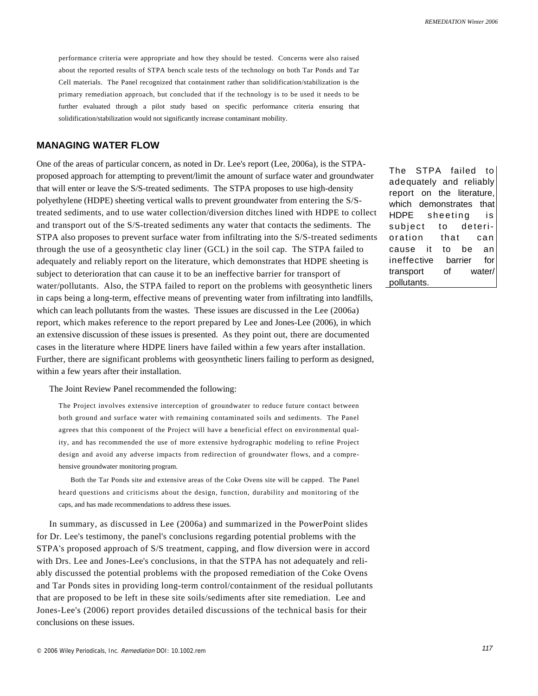performance criteria were appropriate and how they should be tested. Concerns were also raised about the reported results of STPA bench scale tests of the technology on both Tar Ponds and Tar Cell materials. The Panel recognized that containment rather than solidification/stabilization is the primary remediation approach, but concluded that if the technology is to be used it needs to be further evaluated through a pilot study based on specific performance criteria ensuring that solidification/stabilization would not significantly increase contaminant mobility.

## **MANAGING WATER FLOW**

One of the areas of particular concern, as noted in Dr. Lee's report (Lee, 2006a), is the STPAproposed approach for attempting to prevent/limit the amount of surface water and groundwater that will enter or leave the S/S-treated sediments. The STPA proposes to use high-density polyethylene (HDPE) sheeting vertical walls to prevent groundwater from entering the S/Streated sediments, and to use water collection/diversion ditches lined with HDPE to collect and transport out of the S/S-treated sediments any water that contacts the sediments. The STPA also proposes to prevent surface water from infiltrating into the S/S-treated sediments through the use of a geosynthetic clay liner (GCL) in the soil cap. The STPA failed to adequately and reliably report on the literature, which demonstrates that HDPE sheeting is subject to deterioration that can cause it to be an ineffective barrier for transport of water/pollutants. Also, the STPA failed to report on the problems with geosynthetic liners in caps being a long-term, effective means of preventing water from infiltrating into landfills, which can leach pollutants from the wastes. These issues are discussed in the Lee (2006a) report, which makes reference to the report prepared by Lee and Jones-Lee (2006), in which an extensive discussion of these issues is presented. As they point out, there are documented cases in the literature where HDPE liners have failed within a few years after installation. Further, there are significant problems with geosynthetic liners failing to perform as designed, within a few years after their installation.

The Joint Review Panel recommended the following:

The Project involves extensive interception of groundwater to reduce future contact between both ground and surface water with remaining contaminated soils and sediments. The Panel agrees that this component of the Project will have a beneficial effect on environmental quality, and has recommended the use of more extensive hydrographic modeling to refine Project design and avoid any adverse impacts from redirection of groundwater flows, and a comprehensive groundwater monitoring program.

Both the Tar Ponds site and extensive areas of the Coke Ovens site will be capped. The Panel heard questions and criticisms about the design, function, durability and monitoring of the caps, and has made recommendations to address these issues.

In summary, as discussed in Lee (2006a) and summarized in the PowerPoint slides for Dr. Lee's testimony, the panel's conclusions regarding potential problems with the STPA's proposed approach of S/S treatment, capping, and flow diversion were in accord with Drs. Lee and Jones-Lee's conclusions, in that the STPA has not adequately and reliably discussed the potential problems with the proposed remediation of the Coke Ovens and Tar Ponds sites in providing long-term control/containment of the residual pollutants that are proposed to be left in these site soils/sediments after site remediation. Lee and Jones-Lee's (2006) report provides detailed discussions of the technical basis for their conclusions on these issues.

The STPA failed to adequately and reliably report on the literature, which demonstrates that HDPE sheeting is subject to deterioration that can cause it to be an ineffective barrier for transport of water/ pollutants.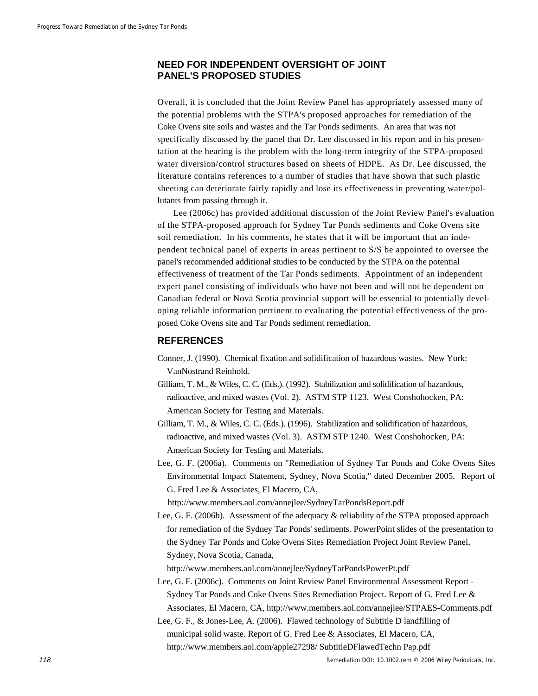## **NEED FOR INDEPENDENT OVERSIGHT OF JOINT PANEL'S PROPOSED STUDIES**

Overall, it is concluded that the Joint Review Panel has appropriately assessed many of the potential problems with the STPA's proposed approaches for remediation of the Coke Ovens site soils and wastes and the Tar Ponds sediments. An area that was not specifically discussed by the panel that Dr. Lee discussed in his report and in his presentation at the hearing is the problem with the long-term integrity of the STPA-proposed water diversion/control structures based on sheets of HDPE. As Dr. Lee discussed, the literature contains references to a number of studies that have shown that such plastic sheeting can deteriorate fairly rapidly and lose its effectiveness in preventing water/pollutants from passing through it.

Lee (2006c) has provided additional discussion of the Joint Review Panel's evaluation of the STPA-proposed approach for Sydney Tar Ponds sediments and Coke Ovens site soil remediation. In his comments, he states that it will be important that an independent technical panel of experts in areas pertinent to S/S be appointed to oversee the panel's recommended additional studies to be conducted by the STPA on the potential effectiveness of treatment of the Tar Ponds sediments. Appointment of an independent expert panel consisting of individuals who have not been and will not be dependent on Canadian federal or Nova Scotia provincial support will be essential to potentially developing reliable information pertinent to evaluating the potential effectiveness of the proposed Coke Ovens site and Tar Ponds sediment remediation.

### **REFERENCES**

- Conner, J. (1990). Chemical fixation and solidification of hazardous wastes. New York: VanNostrand Reinhold.
- Gilliam, T. M., & Wiles, C. C. (Eds.). (1992). Stabilization and solidification of hazardous, radioactive, and mixed wastes (Vol. 2). ASTM STP 1123. West Conshohocken, PA: American Society for Testing and Materials.
- Gilliam, T. M., & Wiles, C. C. (Eds.). (1996). Stabilization and solidification of hazardous, radioactive, and mixed wastes (Vol. 3). ASTM STP 1240. West Conshohocken, PA: American Society for Testing and Materials.
- Lee, G. F. (2006a). Comments on "Remediation of Sydney Tar Ponds and Coke Ovens Sites Environmental Impact Statement, Sydney, Nova Scotia," dated December 2005. Report of G. Fred Lee & Associates, El Macero, CA,

http://www.members.aol.com/annejlee/SydneyTarPondsReport.pdf

Lee, G. F. (2006b). Assessment of the adequacy & reliability of the STPA proposed approach for remediation of the Sydney Tar Ponds' sediments. PowerPoint slides of the presentation to the Sydney Tar Ponds and Coke Ovens Sites Remediation Project Joint Review Panel, Sydney, Nova Scotia, Canada,

http://www.members.aol.com/annejlee/SydneyTarPondsPowerPt.pdf

- Lee, G. F. (2006c). Comments on Joint Review Panel Environmental Assessment Report Sydney Tar Ponds and Coke Ovens Sites Remediation Project. Report of G. Fred Lee & Associates, El Macero, CA, http://www.members.aol.com/annejlee/STPAES-Comments.pdf
- Lee, G. F., & Jones-Lee, A. (2006). Flawed technology of Subtitle D landfilling of municipal solid waste. Report of G. Fred Lee & Associates, El Macero, CA, http://www.members.aol.com/apple27298/ SubtitleDFlawedTechn Pap.pdf